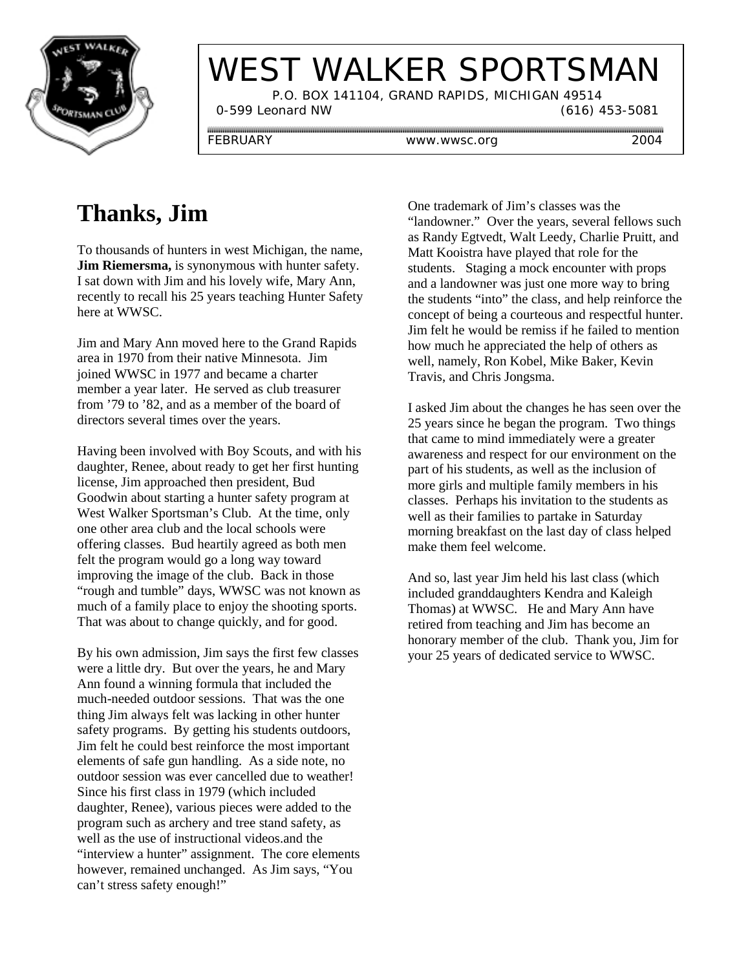

# WEST WALKER SPORTSMAN

 P.O. BOX 141104, GRAND RAPIDS, MICHIGAN 49514 0-599 Leonard NW (616) 453-5081

FEBRUARY www.wwsc.org 2004

## **Thanks, Jim**

To thousands of hunters in west Michigan, the name, **Jim Riemersma,** is synonymous with hunter safety. I sat down with Jim and his lovely wife, Mary Ann, recently to recall his 25 years teaching Hunter Safety here at WWSC.

Jim and Mary Ann moved here to the Grand Rapids area in 1970 from their native Minnesota. Jim joined WWSC in 1977 and became a charter member a year later. He served as club treasurer from '79 to '82, and as a member of the board of directors several times over the years.

Having been involved with Boy Scouts, and with his daughter, Renee, about ready to get her first hunting license, Jim approached then president, Bud Goodwin about starting a hunter safety program at West Walker Sportsman's Club. At the time, only one other area club and the local schools were offering classes. Bud heartily agreed as both men felt the program would go a long way toward improving the image of the club. Back in those "rough and tumble" days, WWSC was not known as much of a family place to enjoy the shooting sports. That was about to change quickly, and for good.

By his own admission, Jim says the first few classes were a little dry. But over the years, he and Mary Ann found a winning formula that included the much-needed outdoor sessions. That was the one thing Jim always felt was lacking in other hunter safety programs. By getting his students outdoors, Jim felt he could best reinforce the most important elements of safe gun handling. As a side note, no outdoor session was ever cancelled due to weather! Since his first class in 1979 (which included daughter, Renee), various pieces were added to the program such as archery and tree stand safety, as well as the use of instructional videos.and the "interview a hunter" assignment. The core elements however, remained unchanged. As Jim says, "You can't stress safety enough!"

One trademark of Jim's classes was the "landowner." Over the years, several fellows such as Randy Egtvedt, Walt Leedy, Charlie Pruitt, and Matt Kooistra have played that role for the students. Staging a mock encounter with props and a landowner was just one more way to bring the students "into" the class, and help reinforce the concept of being a courteous and respectful hunter. Jim felt he would be remiss if he failed to mention how much he appreciated the help of others as well, namely, Ron Kobel, Mike Baker, Kevin Travis, and Chris Jongsma.

I asked Jim about the changes he has seen over the 25 years since he began the program. Two things that came to mind immediately were a greater awareness and respect for our environment on the part of his students, as well as the inclusion of more girls and multiple family members in his classes. Perhaps his invitation to the students as well as their families to partake in Saturday morning breakfast on the last day of class helped make them feel welcome.

And so, last year Jim held his last class (which included granddaughters Kendra and Kaleigh Thomas) at WWSC. He and Mary Ann have retired from teaching and Jim has become an honorary member of the club. Thank you, Jim for your 25 years of dedicated service to WWSC.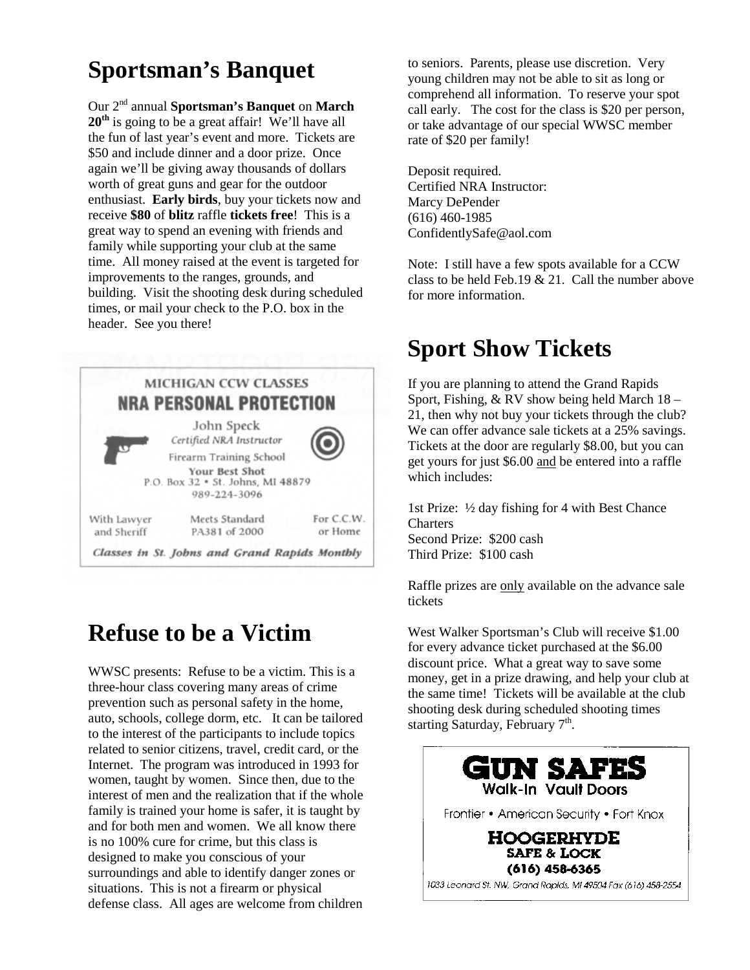### **Sportsman's Banquet**

Our 2nd annual **Sportsman's Banquet** on **March** 20<sup>th</sup> is going to be a great affair! We'll have all the fun of last year's event and more. Tickets are \$50 and include dinner and a door prize. Once again we'll be giving away thousands of dollars worth of great guns and gear for the outdoor enthusiast. **Early birds**, buy your tickets now and receive **\$80** of **blitz** raffle **tickets free**! This is a great way to spend an evening with friends and family while supporting your club at the same time. All money raised at the event is targeted for improvements to the ranges, grounds, and building. Visit the shooting desk during scheduled times, or mail your check to the P.O. box in the header. See you there!



### **Refuse to be a Victim**

WWSC presents: Refuse to be a victim. This is a three-hour class covering many areas of crime prevention such as personal safety in the home, auto, schools, college dorm, etc. It can be tailored to the interest of the participants to include topics related to senior citizens, travel, credit card, or the Internet. The program was introduced in 1993 for women, taught by women. Since then, due to the interest of men and the realization that if the whole family is trained your home is safer, it is taught by and for both men and women. We all know there is no 100% cure for crime, but this class is designed to make you conscious of your surroundings and able to identify danger zones or situations. This is not a firearm or physical defense class. All ages are welcome from children

to seniors. Parents, please use discretion. Very young children may not be able to sit as long or comprehend all information. To reserve your spot call early. The cost for the class is \$20 per person, or take advantage of our special WWSC member rate of \$20 per family!

Deposit required. Certified NRA Instructor: Marcy DePender (616) 460-1985 ConfidentlySafe@aol.com

Note: I still have a few spots available for a CCW class to be held Feb.19 & 21. Call the number above for more information.

### **Sport Show Tickets**

If you are planning to attend the Grand Rapids Sport, Fishing, & RV show being held March 18 – 21, then why not buy your tickets through the club? We can offer advance sale tickets at a 25% savings. Tickets at the door are regularly \$8.00, but you can get yours for just \$6.00 and be entered into a raffle which includes:

1st Prize: ½ day fishing for 4 with Best Chance **Charters** Second Prize: \$200 cash Third Prize: \$100 cash

Raffle prizes are only available on the advance sale tickets

West Walker Sportsman's Club will receive \$1.00 for every advance ticket purchased at the \$6.00 discount price. What a great way to save some money, get in a prize drawing, and help your club at the same time! Tickets will be available at the club shooting desk during scheduled shooting times starting Saturday, February  $7<sup>th</sup>$ .

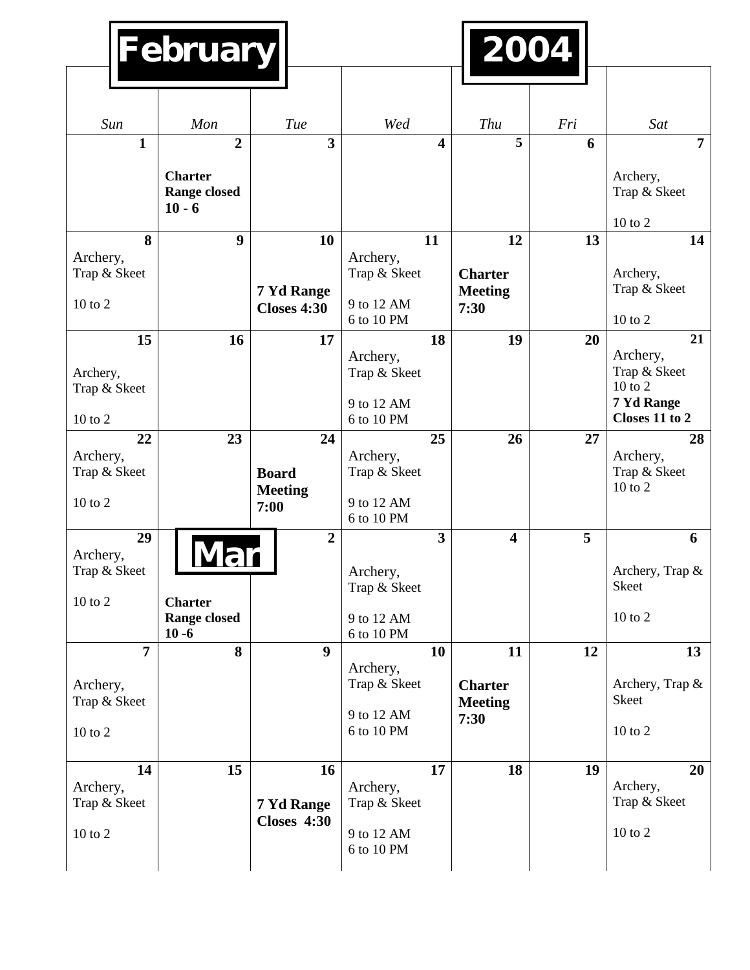| February                                      |                                                   |                                              |                                                      |                         | 2004                                     |     |                                                       |
|-----------------------------------------------|---------------------------------------------------|----------------------------------------------|------------------------------------------------------|-------------------------|------------------------------------------|-----|-------------------------------------------------------|
|                                               |                                                   |                                              |                                                      |                         |                                          |     |                                                       |
| Sun                                           | Mon                                               | Tue                                          | Wed                                                  |                         | Thu                                      | Fri | Sat                                                   |
| $\mathbf{1}$                                  | $\overline{2}$                                    | $\overline{\mathbf{3}}$                      |                                                      | 4                       | 5                                        | 6   | $\overline{7}$                                        |
|                                               | <b>Charter</b><br><b>Range closed</b><br>$10 - 6$ |                                              |                                                      |                         |                                          |     | Archery,<br>Trap & Skeet                              |
| 8                                             | 9                                                 | 10                                           | 11                                                   |                         | 12                                       | 13  | $10$ to $2$<br>14                                     |
| Archery,<br>Trap & Skeet<br>10 to 2           |                                                   | 7 Yd Range<br><b>Closes 4:30</b>             | Archery,<br>Trap & Skeet<br>9 to 12 AM<br>6 to 10 PM |                         | <b>Charter</b><br><b>Meeting</b><br>7:30 |     | Archery,<br>Trap & Skeet<br>10 to 2                   |
| 15                                            | 16                                                | 17                                           |                                                      | 18                      | 19                                       | 20  | 21                                                    |
| Archery,<br>Trap & Skeet                      |                                                   |                                              | Archery,<br>Trap & Skeet<br>9 to 12 AM               |                         |                                          |     | Archery,<br>Trap & Skeet<br>$10$ to $2$<br>7 Yd Range |
| 10 to 2                                       |                                                   |                                              | 6 to 10 PM                                           |                         |                                          |     | Closes 11 to 2                                        |
| 22<br>Archery,<br>Trap & Skeet<br>10 to 2     | 23                                                | 24<br><b>Board</b><br><b>Meeting</b><br>7:00 | Archery,<br>Trap & Skeet<br>9 to 12 AM<br>6 to 10 PM | 25                      | 26                                       | 27  | 28<br>Archery,<br>Trap & Skeet<br>10 to 2             |
| 29<br>Archery,<br>Trap & Skeet<br>$10$ to $2$ | <b>Charter</b><br><b>Range closed</b><br>$10 - 6$ | $\overline{2}$                               | Archery,<br>Trap & Skeet<br>9 to 12 AM<br>6 to 10 PM | $\overline{\mathbf{3}}$ | $\overline{\mathbf{4}}$                  | 5   | 6<br>Archery, Trap &<br>Skeet<br>$10$ to $2\,$        |
| $\overline{7}$                                | 8                                                 | 9                                            |                                                      | 10                      | 11                                       | 12  | 13                                                    |
| Archery,<br>Trap & Skeet<br>$10$ to $2\,$     |                                                   |                                              | Archery,<br>Trap & Skeet<br>9 to 12 AM<br>6 to 10 PM |                         | <b>Charter</b><br><b>Meeting</b><br>7:30 |     | Archery, Trap &<br>Skeet<br>10 to 2                   |
| 14                                            | 15                                                | 16                                           |                                                      | 17                      | 18                                       | 19  | 20                                                    |
| Archery,<br>Trap & Skeet                      |                                                   | 7 Yd Range<br><b>Closes 4:30</b>             | Archery,<br>Trap & Skeet                             |                         |                                          |     | Archery,<br>Trap & Skeet                              |
| $10$ to $2\,$                                 |                                                   |                                              | 9 to 12 AM<br>6 to 10 PM                             |                         |                                          |     | $10$ to $2$                                           |